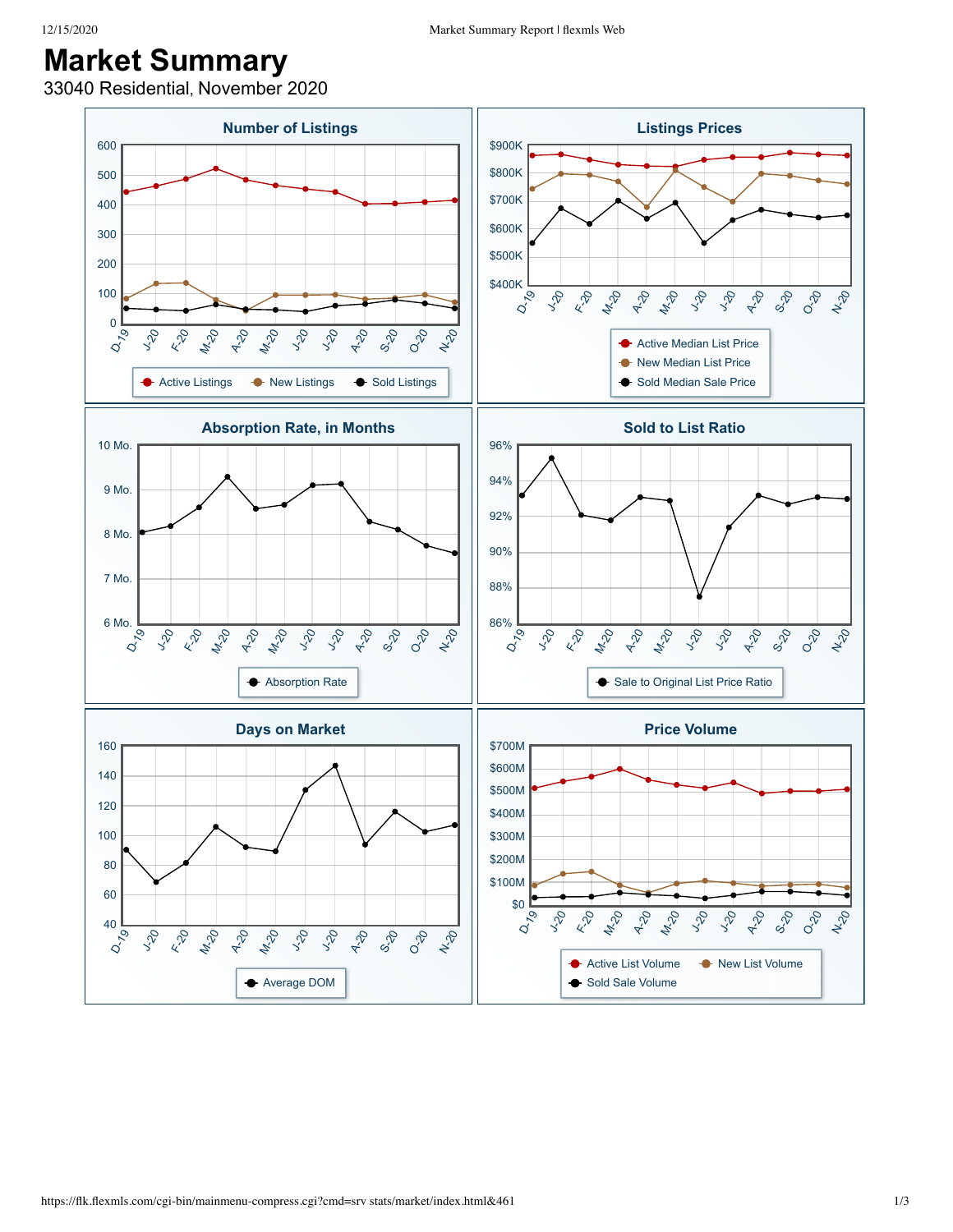## **Market Summary**

33040 Residential, November 2020

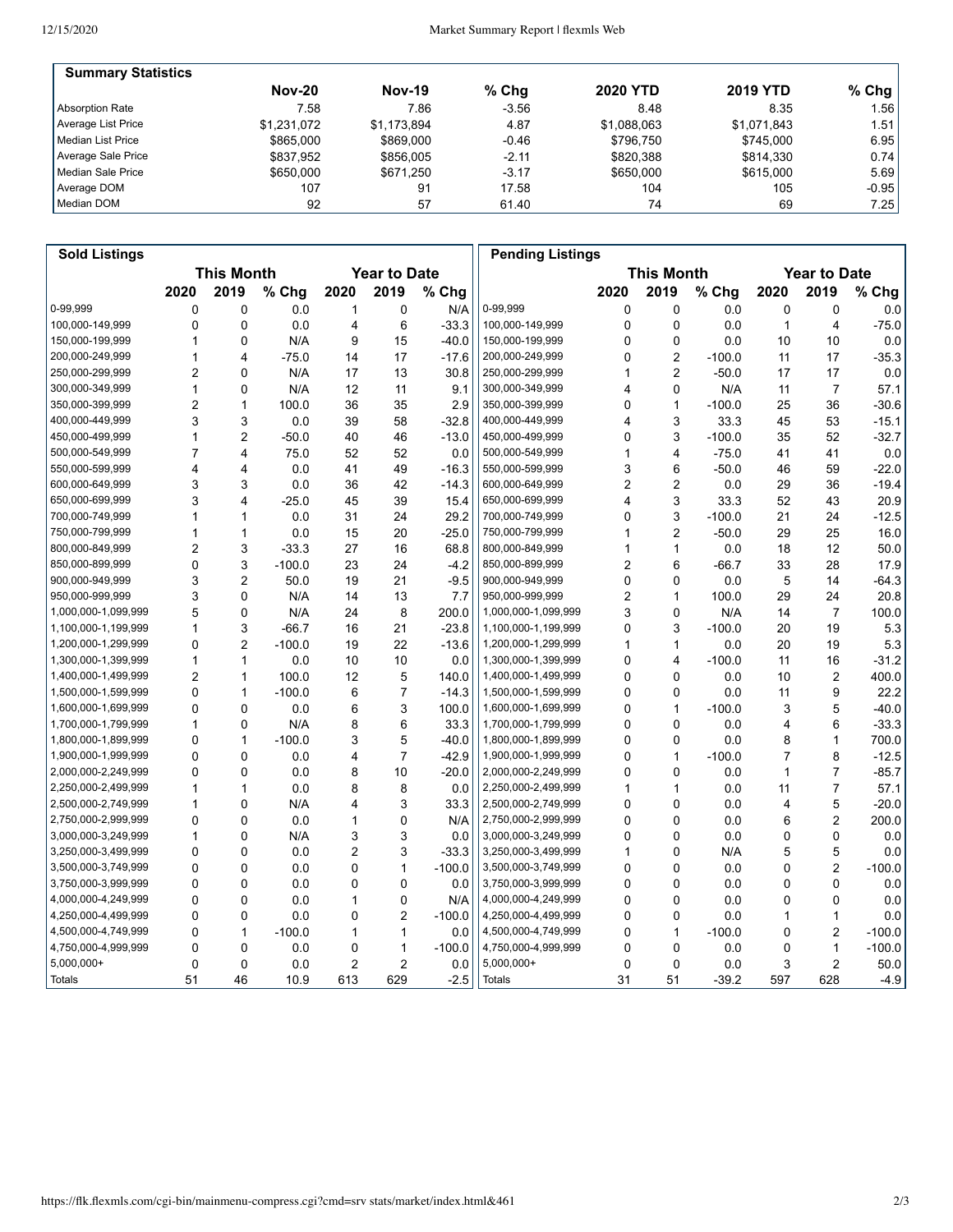| <b>Summary Statistics</b> |               |               |         |                 |                 |           |
|---------------------------|---------------|---------------|---------|-----------------|-----------------|-----------|
|                           | <b>Nov-20</b> | <b>Nov-19</b> | $%$ Chg | <b>2020 YTD</b> | <b>2019 YTD</b> | % Chg $ $ |
| Absorption Rate           | 7.58          | 7.86          | $-3.56$ | 8.48            | 8.35            | 1.56      |
| Average List Price        | \$1,231,072   | \$1.173.894   | 4.87    | \$1,088,063     | \$1,071,843     | 1.51 l    |
| Median List Price         | \$865,000     | \$869,000     | $-0.46$ | \$796.750       | \$745.000       | 6.95      |
| Average Sale Price        | \$837.952     | \$856,005     | $-2.11$ | \$820.388       | \$814.330       | 0.74      |
| Median Sale Price         | \$650,000     | \$671.250     | $-3.17$ | \$650,000       | \$615,000       | 5.69      |
| Average DOM               | 107           | 91            | 17.58   | 104             | 105             | $-0.95$   |
| Median DOM                | 92            | 57            | 61.40   | 74              | 69              | 7.25      |

| <b>Sold Listings</b> |                |                         |          |                |                     |          | <b>Pending Listings</b> |      |                         |          |      |                         |          |
|----------------------|----------------|-------------------------|----------|----------------|---------------------|----------|-------------------------|------|-------------------------|----------|------|-------------------------|----------|
|                      |                | <b>This Month</b>       |          |                | <b>Year to Date</b> |          |                         |      | <b>This Month</b>       |          |      | <b>Year to Date</b>     |          |
|                      | 2020           | 2019                    | % Chg    | 2020           | 2019                | % Chg    |                         | 2020 | 2019                    | % Chg    | 2020 | 2019                    | % Chg    |
| 0-99,999             | 0              | 0                       | 0.0      | 1              | 0                   | N/A      | 0-99,999                | 0    | 0                       | 0.0      | 0    | 0                       | 0.0      |
| 100,000-149,999      | Ō              | 0                       | 0.0      | 4              | 6                   | $-33.3$  | 100,000-149,999         | 0    | 0                       | 0.0      | 1    | $\overline{4}$          | $-75.0$  |
| 150,000-199,999      | 1              | 0                       | N/A      | 9              | 15                  | $-40.0$  | 150,000-199,999         | 0    | 0                       | 0.0      | 10   | 10                      | 0.0      |
| 200,000-249,999      | 1              | 4                       | $-75.0$  | 14             | 17                  | $-17.6$  | 200,000-249,999         | 0    | $\overline{c}$          | $-100.0$ | 11   | 17                      | $-35.3$  |
| 250,000-299,999      | $\overline{c}$ | $\mathbf{0}$            | N/A      | 17             | 13                  | 30.8     | 250,000-299,999         | 1    | $\overline{2}$          | $-50.0$  | 17   | 17                      | 0.0      |
| 300,000-349,999      | 1              | $\mathbf{0}$            | N/A      | 12             | 11                  | 9.1      | 300,000-349,999         | 4    | $\Omega$                | N/A      | 11   | $\overline{7}$          | 57.1     |
| 350,000-399,999      | 2              | 1                       | 100.0    | 36             | 35                  | 2.9      | 350,000-399,999         | 0    | 1                       | $-100.0$ | 25   | 36                      | $-30.6$  |
| 400,000-449,999      | 3              | 3                       | 0.0      | 39             | 58                  | $-32.8$  | 400,000-449,999         | 4    | 3                       | 33.3     | 45   | 53                      | $-15.1$  |
| 450,000-499,999      | 1              | $\overline{2}$          | $-50.0$  | 40             | 46                  | $-13.0$  | 450,000-499,999         | 0    | 3                       | $-100.0$ | 35   | 52                      | $-32.7$  |
| 500,000-549,999      | $\overline{7}$ | $\overline{\mathbf{4}}$ | 75.0     | 52             | 52                  | 0.0      | 500,000-549,999         | 1    | $\overline{\mathbf{4}}$ | $-75.0$  | 41   | 41                      | 0.0      |
| 550,000-599,999      | 4              | 4                       | 0.0      | 41             | 49                  | $-16.3$  | 550,000-599,999         | 3    | 6                       | $-50.0$  | 46   | 59                      | $-22.0$  |
| 600,000-649,999      | 3              | 3                       | 0.0      | 36             | 42                  | $-14.3$  | 600,000-649,999         | 2    | 2                       | 0.0      | 29   | 36                      | $-19.4$  |
| 650,000-699,999      | 3              | 4                       | $-25.0$  | 45             | 39                  | 15.4     | 650,000-699,999         | 4    | 3                       | 33.3     | 52   | 43                      | 20.9     |
| 700,000-749,999      | 1              | 1                       | 0.0      | 31             | 24                  | 29.2     | 700,000-749,999         | 0    | 3                       | $-100.0$ | 21   | 24                      | $-12.5$  |
| 750,000-799,999      | 1              | $\mathbf{1}$            | 0.0      | 15             | 20                  | $-25.0$  | 750,000-799,999         | 1    | $\overline{c}$          | $-50.0$  | 29   | 25                      | 16.0     |
| 800,000-849,999      | 2              | 3                       | $-33.3$  | 27             | 16                  | 68.8     | 800,000-849,999         | 1    | 1                       | 0.0      | 18   | 12                      | 50.0     |
| 850,000-899,999      | 0              | 3                       | $-100.0$ | 23             | 24                  | $-4.2$   | 850,000-899,999         | 2    | 6                       | $-66.7$  | 33   | 28                      | 17.9     |
| 900,000-949,999      | 3              | $\overline{2}$          | 50.0     | 19             | 21                  | $-9.5$   | 900,000-949,999         | 0    | 0                       | 0.0      | 5    | 14                      | $-64.3$  |
| 950,000-999,999      | 3              | $\Omega$                | N/A      | 14             | 13                  | 7.7      | 950,000-999,999         | 2    | $\mathbf{1}$            | 100.0    | 29   | 24                      | 20.8     |
| 1,000,000-1,099,999  | 5              | 0                       | N/A      | 24             | 8                   | 200.0    | 1,000,000-1,099,999     | 3    | 0                       | N/A      | 14   | $\overline{7}$          | 100.0    |
| 1,100,000-1,199,999  | 1              | 3                       | $-66.7$  | 16             | 21                  | $-23.8$  | 1,100,000-1,199,999     | 0    | 3                       | $-100.0$ | 20   | 19                      | 5.3      |
| 1,200,000-1,299,999  | 0              | $\overline{2}$          | $-100.0$ | 19             | 22                  | $-13.6$  | 1,200,000-1,299,999     | 1    | 1                       | 0.0      | 20   | 19                      | 5.3      |
| 1,300,000-1,399,999  | 1              | 1                       | 0.0      | 10             | 10                  | 0.0      | 1,300,000-1,399,999     | 0    | 4                       | $-100.0$ | 11   | 16                      | $-31.2$  |
| 1,400,000-1,499,999  | 2              | 1                       | 100.0    | 12             | 5                   | 140.0    | 1,400,000-1,499,999     | 0    | $\Omega$                | 0.0      | 10   | $\overline{\mathbf{c}}$ | 400.0    |
| 1,500,000-1,599,999  | 0              | 1                       | $-100.0$ | 6              | $\overline{7}$      | $-14.3$  | 1,500,000-1,599,999     | 0    | 0                       | 0.0      | 11   | 9                       | 22.2     |
| 1,600,000-1,699,999  | 0              | 0                       | 0.0      | 6              | 3                   | 100.0    | 1,600,000-1,699,999     | 0    | 1                       | $-100.0$ | 3    | 5                       | $-40.0$  |
| 1,700,000-1,799,999  | 1              | 0                       | N/A      | 8              | 6                   | 33.3     | 1,700,000-1,799,999     | 0    | 0                       | 0.0      | 4    | 6                       | $-33.3$  |
| 1,800,000-1,899,999  | 0              | $\mathbf{1}$            | $-100.0$ | 3              | 5                   | $-40.0$  | 1,800,000-1,899,999     | 0    | 0                       | 0.0      | 8    | 1                       | 700.0    |
| 1,900,000-1,999,999  | 0              | $\mathbf{0}$            | 0.0      | 4              | $\overline{7}$      | $-42.9$  | 1,900,000-1,999,999     | 0    | 1                       | $-100.0$ | 7    | 8                       | $-12.5$  |
| 2,000,000-2,249,999  | 0              | $\mathbf{0}$            | 0.0      | 8              | 10                  | $-20.0$  | 2,000,000-2,249,999     | 0    | 0                       | 0.0      | 1    | $\overline{7}$          | $-85.7$  |
| 2,250,000-2,499,999  | 1              | 1                       | 0.0      | 8              | 8                   | 0.0      | 2,250,000-2,499,999     | 1    | 1                       | 0.0      | 11   | $\overline{7}$          | 57.1     |
| 2,500,000-2,749,999  | 1              | 0                       | N/A      | 4              | 3                   | 33.3     | 2,500,000-2,749,999     | 0    | 0                       | 0.0      | 4    | 5                       | $-20.0$  |
| 2,750,000-2,999,999  | 0              | 0                       | 0.0      | 1              | 0                   | N/A      | 2,750,000-2,999,999     | 0    | 0                       | 0.0      | 6    | $\overline{c}$          | 200.0    |
| 3,000,000-3,249,999  | 1              | 0                       | N/A      | 3              | 3                   | 0.0      | 3,000,000-3,249,999     | 0    | 0                       | 0.0      | 0    | 0                       | 0.0      |
| 3,250,000-3,499,999  | 0              | $\mathbf{0}$            | 0.0      | $\overline{2}$ | 3                   | $-33.3$  | 3,250,000-3,499,999     | 1    | 0                       | N/A      | 5    | 5                       | 0.0      |
| 3,500,000-3,749,999  | 0              | 0                       | 0.0      | 0              | $\mathbf{1}$        | $-100.0$ | 3,500,000-3,749,999     | 0    | 0                       | 0.0      | 0    | $\overline{c}$          | $-100.0$ |
| 3,750,000-3,999,999  | 0              | 0                       | 0.0      | 0              | 0                   | 0.0      | 3,750,000-3,999,999     | 0    | 0                       | 0.0      | 0    | 0                       | 0.0      |
| 4,000,000-4,249,999  | 0              | 0                       | 0.0      | 1              | 0                   | N/A      | 4,000,000-4,249,999     | 0    | 0                       | 0.0      | 0    | 0                       | 0.0      |
| 4,250,000-4,499,999  | 0              | $\mathbf{0}$            | 0.0      | 0              | $\overline{2}$      | $-100.0$ | 4,250,000-4,499,999     | 0    | 0                       | 0.0      | 1    | $\mathbf{1}$            | 0.0      |
| 4,500,000-4,749,999  | 0              | $\mathbf{1}$            | $-100.0$ | 1              | $\mathbf{1}$        | 0.0      | 4,500,000-4,749,999     | 0    | 1                       | $-100.0$ | 0    | $\overline{2}$          | $-100.0$ |
| 4,750,000-4,999,999  | 0              | 0                       | 0.0      | 0              | $\mathbf{1}$        | $-100.0$ | 4,750,000-4,999,999     | 0    | 0                       | 0.0      | 0    | 1                       | $-100.0$ |
| $5,000,000+$         | 0              | 0                       | 0.0      | 2              | $\overline{c}$      | 0.0      | 5,000,000+              | 0    | 0                       | 0.0      | 3    | 2                       | 50.0     |
| Totals               | 51             | 46                      | 10.9     | 613            | 629                 | $-2.5$   | <b>Totals</b>           | 31   | 51                      | $-39.2$  | 597  | 628                     | $-4.9$   |
|                      |                |                         |          |                |                     |          |                         |      |                         |          |      |                         |          |